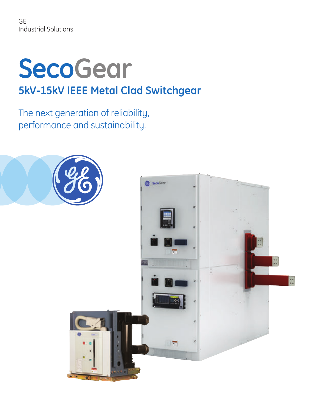GE Industrial Solutions

# **SecoGear 5kV-15kV IEEE Metal Clad Switchgear**

The next generation of reliability, performance and sustainability.

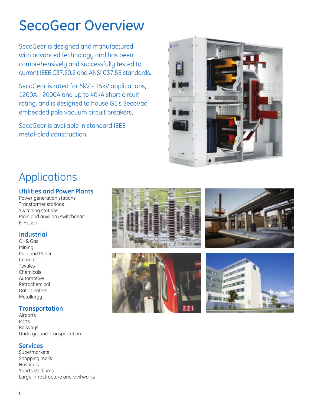## SecoGear Overview

SecoGear is designed and manufactured with advanced technology and has been comprehensively and successfully tested to current IEEE C37.20.2 and ANSI C37.55 standards.

SecoGear is rated for 5kV - 15kV applications, 1200A - 2000A and up to 40kA short circuit rating, and is designed to house GE's SecoVac embedded pole vacuum circuit breakers.

SecoGear is available in standard IEEE metal-clad construction.



### Applications

#### **Utilities and Power Plants**

Power generation stations Transformer stations Switching stations Main and auxiliary switchgear E-House

#### **Industrial**

Oil & Gas Mining Pulp and Paper Cement **Textiles** Chemicals Automotive Petrochemical Data Centers **Metallurgy** 

#### **Transportation**

**Airports** Ports Railways Underground Transportation

#### **Services**

Supermarkets Shopping malls Hospitals Sports stadiums Large infrastructure and civil works







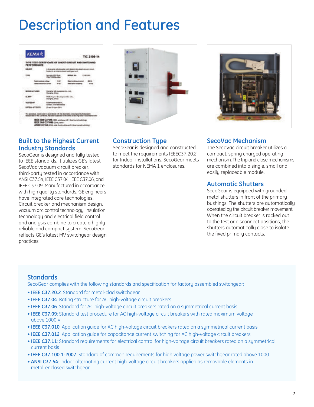## Description and Features



#### **Built to the Highest Current Industry Standards**

SecoGear is designed and fully tested to IEEE standards. It utilizes GE's latest SecoVac vacuum circuit breaker, third-party tested in accordance with ANSI C37.54, IEEE C37.04, IEEE C37.06, and IEEE C37.09. Manufactured in accordance with high quality standards, GE engineers have integrated core technologies. Circuit breaker and mechanism design, vacuum arc control technology, insulation technology and electrical field control and analysis combine to create a highly reliable and compact system. SecoGear reflects GE's latest MV switchgear design practices.





#### **Construction Type**

SecoGear is designed and constructed to meet the requirements IEEEC37.20.2 for Indoor installations. SecoGear meets standards for NEMA 1 enclosures.

#### **SecoVac Mechanism**

The SecoVac circuit breaker utilizes a compact, spring charged operating mechanism. The trip and close mechanisms are combined into a single, small and easily replaceable module.

#### **Automatic Shutters**

SecoGear is equipped with grounded metal shutters in front of the primary bushings. The shutters are automatically operated by the circuit breaker movement. When the circuit breaker is racked out to the test or disconnect positions, the shutters automatically close to isolate the fixed primary contacts.

#### **Standards**

SecoGear complies with the following standards and specification for factory assembled switchgear:

- **IEEE C37.20.2**: Standard for metal-clad switchgear
- **IEEE C37.04**: Rating structure for AC high-voltage circuit breakers
- **IEEE C37.06**: Standard for AC high-voltage circuit breakers rated on a symmetrical current basis
- **IEEE C37.09**: Standard test procedure for AC high-voltage circuit breakers with rated maximum voltage above 1000 V
- **IEEE C37.010**: Application guide for AC high-voltage circuit breakers rated on a symmetrical current basis
- **IEEE C37.012**: Application guide for capacitance current switching for AC high-voltage circuit breakers
- **IEEE C37.11**: Standard requirements for electrical control for high-voltage circuit breakers rated on a symmetrical current basis
- **IEEE C37.100.1-2007**: Standard of common requirements for high voltage power switchgear rated above 1000
- **ANSI C37.54**: Indoor alternating current high-voltage circuit breakers applied as removable elements in metal-enclosed switchgear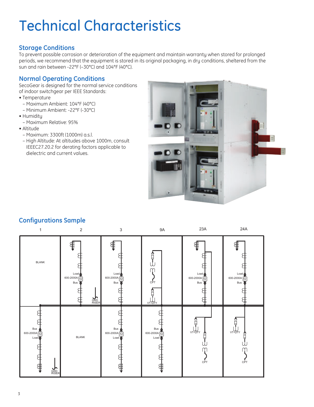## Technical Characteristics

#### **Storage Conditions**

To prevent possible corrosion or deterioration of the equipment and maintain warranty when stored for prolonged periods, we recommend that the equipment is stored in its original packaging, in dry conditions, sheltered from the sun and rain between -22°F (–30°C) and 104°F (40°C).

#### **Normal Operating Conditions**

SecoGear is designed for the normal service conditions of indoor switchgear per IEEE Standards:

- Temperature
- Maximum Ambient: 104°F (40°C)
- Minimum Ambient: -22°F (-30°C)
- Humidity
	- Maximum Relative: 95%
- Altitude
	- Maximum: 3300ft (1000m) a.s.l.
	- High Altitude: At altitudes above 1000m, consult IEEEC27.20.2 for derating factors applicable to dielectric and current values.



### **Configurations Sample**

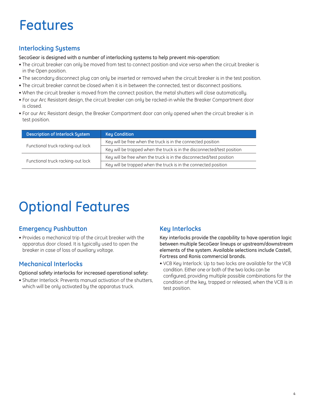## Features

### **Interlocking Systems**

SecoGear is designed with a number of interlocking systems to help prevent mis-operation:

- The circuit breaker can only be moved from test to connect position and vice versa when the circuit breaker is in the Open position.
- The secondary disconnect plug can only be inserted or removed when the circuit breaker is in the test position.
- The circuit breaker cannot be closed when it is in between the connected, test or disconnect positions.
- When the circuit breaker is moved from the connect position, the metal shutters will close automatically.
- For our Arc Resistant design, the circuit breaker can only be racked-in while the Breaker Compartment door is closed.
- For our Arc Resistant design, the Breaker Compartment door can only opened when the circuit breaker is in test position.

| <b>Description of Interlock System</b> | <b>Key Condition</b>                                                    |
|----------------------------------------|-------------------------------------------------------------------------|
|                                        | Key will be free when the truck is in the connected position            |
| Functional truck racking-out lock      | Key will be trapped when the truck is in the disconnected/test position |
|                                        | Key will be free when the truck is in the disconnected/test position    |
| Functional truck racking-out lock      | Key will be trapped when the truck is in the connected position         |

## Optional Features

### **Emergency Pushbutton**

• Provides a mechanical trip of the circuit breaker with the apparatus door closed. It is typically used to open the breaker in case of loss of auxiliary voltage.

### **Mechanical Interlocks**

Optional safety interlocks for increased operational safety:

• Shutter Interlock: Prevents manual activation of the shutters, which will be only activated by the apparatus truck.

### **Key Interlocks**

Key interlocks provide the capability to have operation logic between multiple SecoGear lineups or upstream/downstream elements of the system. Available selections include Castell, Fortress and Ronis commercial brands.

• VCB Key Interlock: Up to two locks are available for the VCB condition. Either one or both of the two locks can be configured, providing multiple possible combinations for the condition of the key, trapped or released, when the VCB is in test position.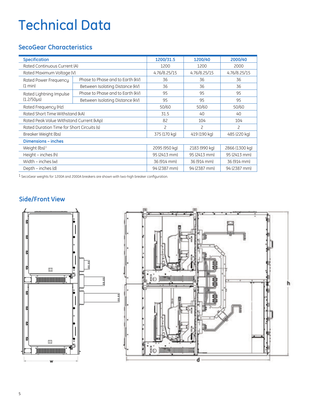## Technical Data

### **SecoGear Characteristics**

| <b>Specification</b>                       |                                  | 1200/31.5      | 1200/40       | 2000/40        |
|--------------------------------------------|----------------------------------|----------------|---------------|----------------|
| Rated Continuous Current (A)               |                                  | 1200           | 1200          | 2000           |
| Rated Maximum Voltage (V)                  |                                  | 4.76/8.25/15   | 4.76/8.25/15  | 4.76/8.25/15   |
| Rated Power Frequency                      | Phase to Phase and to Earth (kV) | 36             | 36            | 36             |
| (1 min)                                    | Between Isolating Distance (kV)  | 36             | 36            | 36             |
| Rated Lightning Impulse                    | Phase to Phase and to Earth (kV) | 95             | 95            | 95             |
| $(1.2/50 \mu s)$                           | Between Isolating Distance (kV)  | 95             | 95            | 95             |
| Rated Frequency (Hz)                       |                                  | 50/60          | 50/60         | 50/60          |
| Rated Short Time Withstand (kA)            |                                  | 31.5           | 40            | 40             |
| Rated Peak Value Withstand Current (kAp)   |                                  | 82             | 104           | 104            |
| Rated Duration Time for Short Circuits (s) |                                  | $\overline{c}$ | 2             | $\overline{c}$ |
| Breaker Weight (lbs)                       |                                  | 375 (170 kg)   | 419 (190 kg)  | 485 (220 kg)   |
| <b>Dimensions - inches</b>                 |                                  |                |               |                |
| Weight (lbs) <sup>1</sup>                  |                                  | 2095 (950 kg)  | 2183 (990 kg) | 2866 (1300 kg) |
| Height - inches (h)                        |                                  | 95 (2413 mm)   | 95 (2413 mm)  | 95 (2413 mm)   |
| Width – inches (w)                         |                                  | 36 (914 mm)    | 36 (914 mm)   | 36 (914 mm)    |
| Depth – inches (d)                         |                                  | 94 (2387 mm)   | 94 (2387 mm)  | 94 (2387 mm)   |

1 SecoGear weights for 1200A and 2000A breakers are shown with two-high breaker configuration.

### **Side/Front View**

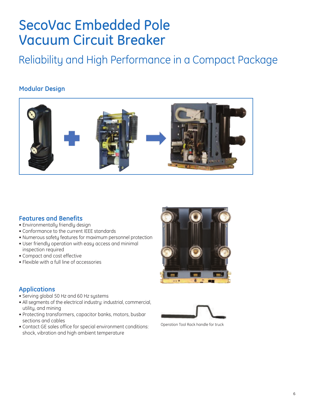### SecoVac Embedded Pole Vacuum Circuit Breaker

Reliability and High Performance in a Compact Package

#### **Modular Design**



#### **Features and Benefits**

- Environmentally friendly design
- Conformance to the current IEEE standards
- Numerous safety features for maximum personnel protection
- User friendly operation with easy access and minimal inspection required
- Compact and cost effective
- Flexible with a full line of accessories



#### **Applications**

- Serving global 50 Hz and 60 Hz systems
- All segments of the electrical industry: industrial, commercial, utility, and mining
- Protecting transformers, capacitor banks, motors, busbar sections and cables
- Contact GE sales office for special environment conditions: shock, vibration and high ambient temperature



Operation Tool Rack handle for truck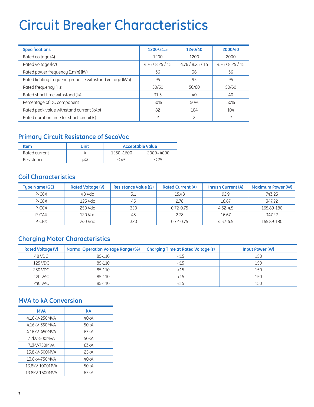## Circuit Breaker Characteristics

| <b>Specifications</b>                                    | 1200/31.5        | 1240/40          | 2000/40      |
|----------------------------------------------------------|------------------|------------------|--------------|
| Rated coltage (A)                                        | 1200             | 1200             | 2000         |
| Rated voltage (kV)                                       | 4.76 / 8.25 / 15 | 4.76 / 8.25 / 15 | 4.76/8.25/15 |
| Rated power frequency (1min) (kV)                        | 36               | 36               | 36           |
| Rated lighting frequency impulse withstand voltage (kVp) | 95               | 95               | 95           |
| Rated frequency (Hz)                                     | 50/60            | 50/60            | 50/60        |
| Rated short time withstand (kA)                          | 31.5             | 40               | 40           |
| Percentage of DC component                               | 50%              | 50%              | 50%          |
| Rated peak value withstand current (kAp)                 | 82               | 104              | 104          |
| Rated duration time for short-circuit (s)                | っ                |                  |              |

### **Primary Circuit Resistance of SecoVac**

| Item          | Unit | <b>Acceptable Value</b> |           |
|---------------|------|-------------------------|-----------|
| Rated current |      | 1250~1600               | 2000~4000 |
| Resistance    | us2  | - 45                    |           |

### **Coil Characteristics**

| <b>Type Name (GE)</b> | <b>Rated Voltage (V)</b> | Resistance Value ( $\Omega$ ) | <b>Rated Current (A)</b> | <b>Inrush Current (A)</b> | <b>Maximum Power (W)</b> |
|-----------------------|--------------------------|-------------------------------|--------------------------|---------------------------|--------------------------|
| P-C <sub>6</sub> X    | 48 Vdc                   |                               | 15.48                    | 92.9                      | 743.23                   |
| P-C8X                 | 125 Vdc                  | 45                            | 2.78                     | 16.67                     | 347.22                   |
| P-CCX                 | 250 Vdc                  | 320                           | $0.72 - 0.75$            | $4.32 - 4.5$              | 165.89-180               |
| P-CAX                 | 120 Vac                  | 45                            | 2.78                     | 16.67                     | 347.22                   |
| P-CBX                 | 240 Vac                  | 320                           | $0.72 - 0.75$            | $4.32 - 4.5$              | 165.89-180               |

### **Charging Motor Characteristics**

| <b>Rated Voltage (V)</b> | <b>Normal Operation Voltage Range (%)</b> | <b>Charging Time at Rated Voltage (s)</b> | Input Power (W) |
|--------------------------|-------------------------------------------|-------------------------------------------|-----------------|
| 48 VDC                   | 85-110                                    | <15                                       | 150             |
| 125 VDC                  | 85-110                                    | <15                                       | 150             |
| 250 VDC                  | 85-110                                    | <15                                       | 150             |
| <b>120 VAC</b>           | 85-110                                    | $<$ 15                                    | 150             |
| <b>240 VAC</b>           | 85-110                                    | <15                                       | 150             |

#### **MVA to kA Conversion**

| <b>MVA</b>     | kA   |
|----------------|------|
| 4.16kV-250MVA  | 40kA |
| 4.16kV-350MVA  | 50kA |
| 4.16kV-450MVA  | 63kA |
| 7.2kV-500MVA   | 50kA |
| 7.2kV-750MVA   | 63kA |
| 13.8kV-500MVA  | 25kA |
| 13.8kV-750MVA  | 40kA |
| 13.8kV-1000MVA | 50kA |
| 13.8kV-1500MVA | 63kA |
|                |      |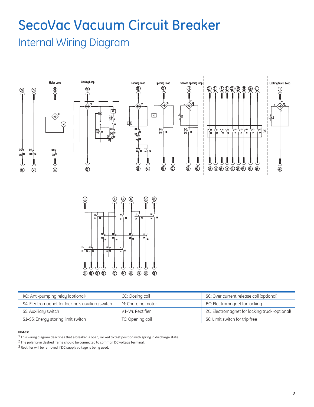### SecoVac Vacuum Circuit Breaker Internal Wiring Diagram



| KO: Anti-pumping relay (optional)                | CC: Closing coil  | SC: Over current release coil (optional)       |
|--------------------------------------------------|-------------------|------------------------------------------------|
| S4: Electromagnet for locking's auxiliary switch | M: Charging motor | BC: Electromagnet for locking                  |
| S5: Auxiliary switch                             | V1-V4: Rectifier  | ZC: Electromagnet for locking truck (optional) |
| S1-S3: Energy storing limit switch               | TC: Opening coil  | S6: Limit switch for trip free                 |

#### **Notes:**

 $1$  This wiring diagram describes that a breaker is open, racked to test position with spring in discharge state.

2 The polarity in dashed frame should be connected to common DC voltage terminal..

 $3$  Rectifier will be removed if DC supply voltage is being used.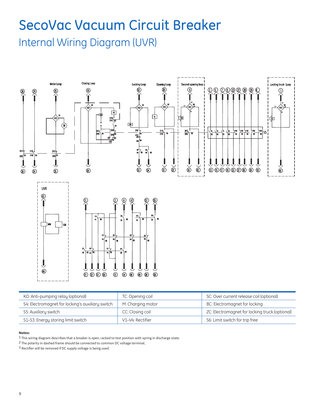## SecoVac Vacuum Circuit Breaker Internal Wiring Diagram (UVR)



| KO: Anti-pumping relay (optional)                | TC: Opening coil  | SC: Over current release coil (optional)       |
|--------------------------------------------------|-------------------|------------------------------------------------|
| S4: Electromagnet for locking's auxiliary switch | M: Charging motor | BC: Electromagnet for locking                  |
| S5: Auxiliary switch                             | CC: Closing coil  | ZC: Electromagnet for locking truck (optional) |
| S1-S3: Energy storing limit switch               | V1-V4: Rectifier  | S6: Limit switch for trip free                 |

#### **Notes:**

1 This wiring diagram describes that a breaker is open, racked to test position with spring in discharge state.

2 The polarity in dashed frame should be connected to common DC voltage terminal..

 $3$  Rectifier will be removed if DC supply voltage is being used.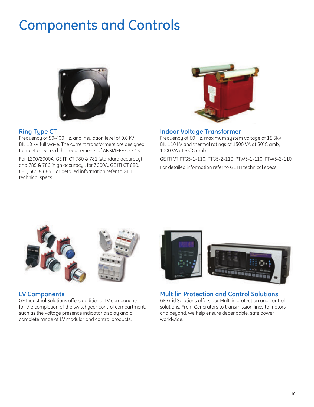## Components and Controls



#### **Ring Type CT**

Frequency of 50-400 Hz, and insulation level of 0.6 kV, BIL 10 kV full wave. The current transformers are designed to meet or exceed the requirements of ANSI/IEEE C57.13.

For 1200/2000A, GE ITI CT 780 & 781 (standard accuracy) and 785 & 786 (high accuracy), for 3000A, GE ITI CT 680, 681, 685 & 686. For detailed information refer to GE ITI technical specs.



#### **Indoor Voltage Transformer**

Frequency of 60 Hz, maximum system voltage of 15.5kV, BIL 110 kV and thermal ratings of 1500 VA at 30˚C amb, 1000 VA at 55˚C amb.

GE ITI VT PTG5-1-110, PTG5-2-110, PTW5-1-110, PTW5-2-110.

For detailed information refer to GE ITI technical specs.



#### **LV Components**

GE Industrial Solutions offers additional LV components for the completion of the switchgear control compartment, such as the voltage presence indicator display and a complete range of LV modular and control products.



#### **Multilin Protection and Control Solutions**

GE Grid Solutions offers our Multilin protection and control solutions. From Generators to transmission lines to motors and beyond, we help ensure dependable, safe power worldwide.